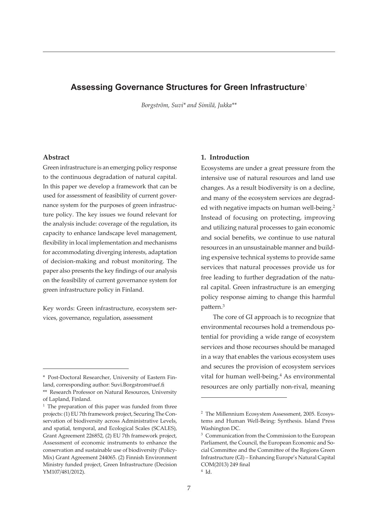# **Assessing Governance Structures for Green Infrastructure**<sup>1</sup>

*Borgström, Suvi\* and Similä, Jukka\*\**

### **Abstract**

Green infrastructure is an emerging policy response to the continuous degradation of natural capital. In this paper we develop a framework that can be used for assessment of feasibility of current governance system for the purposes of green infrastructure policy. The key issues we found relevant for the analysis include: coverage of the regulation, its capacity to enhance landscape level management, flexibility in local implementation and mechanisms for accommodating diverging interests, adaptation of decision-making and robust monitoring. The paper also presents the key findings of our analysis on the feasibility of current governance system for green infrastructure policy in Finland.

Key words: Green infrastructure, ecosystem services, governance, regulation, assessment

### **1. Introduction**

Ecosystems are under a great pressure from the intensive use of natural resources and land use changes. As a result biodiversity is on a decline, and many of the ecosystem services are degraded with negative impacts on human well-being.<sup>2</sup> Instead of focusing on protecting, improving and utilizing natural processes to gain economic and social benefits, we continue to use natural resources in an unsustainable manner and building expensive technical systems to provide same services that natural processes provide us for free leading to further degradation of the natural capital. Green infrastructure is an emerging policy response aiming to change this harmful pattern.<sup>3</sup>

The core of GI approach is to recognize that environmental recourses hold a tremendous potential for providing a wide range of ecosystem services and those recourses should be managed in a way that enables the various ecosystem uses and secures the provision of ecosystem services vital for human well-being.<sup>4</sup> As environmental resources are only partially non-rival, meaning

<sup>\*</sup> Post-Doctoral Researcher, University of Eastern Finland, corresponding author: Suvi.Borgstrom@uef.fi \*\* Research Professor on Natural Resources, University of Lapland, Finland.

<sup>&</sup>lt;sup>1</sup> The preparation of this paper was funded from three projects: (1) EU 7th framework project, Securing The Conservation of biodiversity across Administrative Levels, and spatial, temporal, and Ecological Scales (SCALES), Grant Agreement 226852, (2) EU 7th framework project, Assessment of economic instruments to enhance the conservation and sustainable use of biodiversity (Policy-Mix) Grant Agreement 244065. (2) Finnish Environment Ministry funded project, Green Infrastructure (Decision YM107/481/2012).

<sup>2</sup> The Millennium Ecosystem Assessment, 2005. Ecosystems and Human Well-Being: Synthesis. Island Press Washington DC.

<sup>&</sup>lt;sup>3</sup> Communication from the Commission to the European Parliament, the Council, the European Economic and Social Committee and the Committee of the Regions Green Infrastructure (GI) – Enhancing Europe's Natural Capital COM(2013) 249 final 4 Id.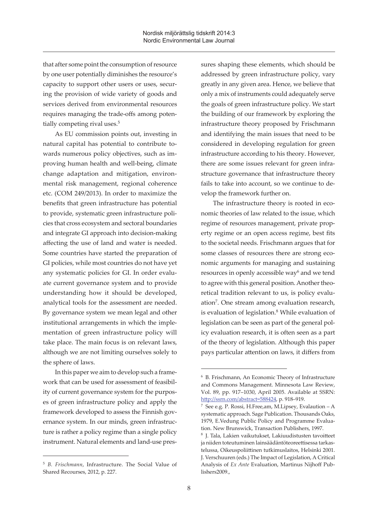that after some point the consumption of resource by one user potentially diminishes the resource's capacity to support other users or uses, securing the provision of wide variety of goods and services derived from environmental resources requires managing the trade-offs among potentially competing rival uses.<sup>5</sup>

As EU commission points out, investing in natural capital has potential to contribute towards numerous policy objectives, such as improving human health and well-being, climate change adaptation and mitigation, environmental risk management, regional coherence etc. (COM 249/2013). In order to maximize the benefits that green infrastructure has potential to provide, systematic green infrastructure policies that cross ecosystem and sectoral boundaries and integrate GI approach into decision-making affecting the use of land and water is needed. Some countries have started the preparation of GI policies, while most countries do not have yet any systematic policies for GI. In order evaluate current governance system and to provide understanding how it should be developed, analytical tools for the assessment are needed. By governance system we mean legal and other institutional arrangements in which the implementation of green infrastructure policy will take place. The main focus is on relevant laws, although we are not limiting ourselves solely to the sphere of laws.

In this paper we aim to develop such a framework that can be used for assessment of feasibility of current governance system for the purposes of green infrastructure policy and apply the framework developed to assess the Finnish governance system. In our minds, green infrastructure is rather a policy regime than a single policy instrument. Natural elements and land-use pressures shaping these elements, which should be addressed by green infrastructure policy, vary greatly in any given area. Hence, we believe that only a mix of instruments could adequately serve the goals of green infrastructure policy. We start the building of our framework by exploring the infrastructure theory proposed by Frischmann and identifying the main issues that need to be considered in developing regulation for green infrastructure according to his theory. However, there are some issues relevant for green infrastructure governance that infrastructure theory fails to take into account, so we continue to develop the framework further on.

The infrastructure theory is rooted in economic theories of law related to the issue, which regime of resources management, private property regime or an open access regime, best fits to the societal needs. Frischmann argues that for some classes of resources there are strong economic arguments for managing and sustaining resources in openly accessible way<sup>6</sup> and we tend to agree with this general position. Another theoretical tradition relevant to us, is policy evaluation<sup>7</sup>. One stream among evaluation research, is evaluation of legislation.<sup>8</sup> While evaluation of legislation can be seen as part of the general policy evaluation research, it is often seen as a part of the theory of legislation. Although this paper pays particular attention on laws, it differs from

<sup>5</sup> *B. Frischmann*, Infrastructure. The Social Value of Shared Recourses, 2012, p. 227.

<sup>6</sup> B. Frischmann, An Economic Theory of Infrastructure and Commons Management. Minnesota Law Review, Vol. 89, pp. 917–1030, April 2005. Available at SSRN: http://ssrn.com/abstract=588424, p. 918–919.

<sup>7</sup> See e.g. P. Rossi, H.Free,am, M.Lipsey, Evalaution – A systematic approach. Sage Publication. Thousands Oaks, 1979, E.Vedung Public Policy and Programme Evaluation. New Brunswick, Transaction Publishers, 1997.

<sup>8</sup> J. Tala, Lakien vaikutukset, Lakiuudistusten tavoitteet ja niiden toteutuminen lainsäädäntöteoreettisessa tarkastelussa, Oikeuspoliittinen tutkimuslaitos, Helsinki 2001. J. Verschuuren (eds.) The Impact of Legislation, A Critical Analysis of *Ex Ante* Evaluation, Martinus Nijhoff Publishers2009.,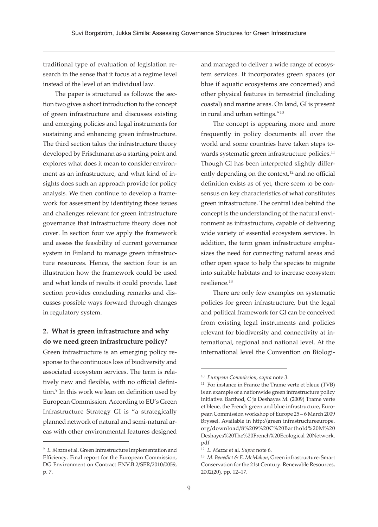traditional type of evaluation of legislation research in the sense that it focus at a regime level instead of the level of an individual law.

The paper is structured as follows: the section two gives a short introduction to the concept of green infrastructure and discusses existing and emerging policies and legal instruments for sustaining and enhancing green infrastructure. The third section takes the infrastructure theory developed by Frischmann as a starting point and explores what does it mean to consider environment as an infrastructure, and what kind of insights does such an approach provide for policy analysis. We then continue to develop a framework for assessment by identifying those issues and challenges relevant for green infrastructure governance that infrastructure theory does not cover. In section four we apply the framework and assess the feasibility of current governance system in Finland to manage green infrastructure resources. Hence, the section four is an illustration how the framework could be used and what kinds of results it could provide. Last section provides concluding remarks and discusses possible ways forward through changes in regulatory system.

## **2. What is green infrastructure and why do we need green infrastructure policy?**

Green infrastructure is an emerging policy response to the continuous loss of biodiversity and associated ecosystem services. The term is relatively new and flexible, with no official definition.<sup>9</sup> In this work we lean on definition used by European Commission. According to EU's Green Infrastructure Strategy GI is "a strategically planned network of natural and semi-natural areas with other environmental features designed

and managed to deliver a wide range of ecosystem services. It incorporates green spaces (or blue if aquatic ecosystems are concerned) and other physical features in terrestrial (including coastal) and marine areas. On land, GI is present in rural and urban settings."10

The concept is appearing more and more frequently in policy documents all over the world and some countries have taken steps towards systematic green infrastructure policies.<sup>11</sup> Though GI has been interpreted slightly differently depending on the context, $12$  and no official definition exists as of yet, there seem to be consensus on key characteristics of what constitutes green infrastructure. The central idea behind the concept is the understanding of the natural environment as infrastructure, capable of delivering wide variety of essential ecosystem services. In addition, the term green infrastructure emphasizes the need for connecting natural areas and other open space to help the species to migrate into suitable habitats and to increase ecosystem resilience.<sup>13</sup>

There are only few examples on systematic policies for green infrastructure, but the legal and political framework for GI can be conceived from existing legal instruments and policies relevant for biodiversity and connectivity at international, regional and national level. At the international level the Convention on Biologi-

<sup>9</sup> *L. Mazza* et al. Green Infrastructure Implementation and Efficiency. Final report for the European Commission, DG Environment on Contract ENV.B.2/SER/2010/0059, p. 7.

<sup>10</sup> *European Commission, supra* note 3.

<sup>11</sup> For instance in France the Trame verte et bleue (TVB) is an example of a nationwide green infrastructure policy initiative. Barthod, C ja Deshayes M. (2009) Trame verte et bleue, the French green and blue infrastructure, European Commission workshop of Europe 25 – 6 March 2009 Bryssel. Available in http://green infrastructureeurope. org/download/8%209%20C%20Barthold%20M%20 Deshayes%20The%20French%20Ecological 20Network. pdf

<sup>12</sup> *L. Mazza* et al. *Supra* note 6.

<sup>13</sup> *M. Benedict & E. McMahon*, Green infrastructure: Smart Conservation for the 21st Century. Renewable Resources, 2002(20), pp. 12–17.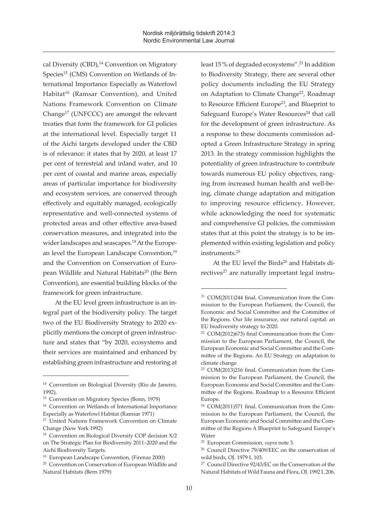cal Diversity (CBD),<sup>14</sup> Convention on Migratory Species<sup>15</sup> (CMS) Convention on Wetlands of International Importance Especially as Waterfowl Habitat<sup>16</sup> (Ramsar Convention), and United Nations Framework Convention on Climate Change17 (UNFCCC) are amongst the relevant treaties that form the framework for GI policies at the international level. Especially target 11 of the Aichi targets developed under the CBD is of relevance: it states that by 2020, at least 17 per cent of terrestrial and inland water, and 10 per cent of coastal and marine areas, especially areas of particular importance for biodiversity and ecosystem services, are conserved through effectively and equitably managed, ecologically representative and well-connected systems of protected areas and other effective area-based conservation measures, and integrated into the wider landscapes and seascapes.<sup>18</sup> At the European level the European Landscape Convention,<sup>19</sup> and the Convention on Conservation of European Wildlife and Natural Habitats<sup>20</sup> (the Bern Convention), are essential building blocks of the framework for green infrastructure.

At the EU level green infrastructure is an integral part of the biodiversity policy. The target two of the EU Biodiversity Strategy to 2020 explicitly mentions the concept of green infrastructure and states that "by 2020, ecosystems and their services are maintained and enhanced by establishing green infrastructure and restoring at least 15 % of degraded ecosystems".<sup>21</sup> In addition to Biodiversity Strategy, there are several other policy documents including the EU Strategy on Adaptation to Climate Change<sup>22</sup>, Roadmap to Resource Efficient Europe<sup>23</sup>, and Blueprint to Safeguard Europe's Water Resources<sup>24</sup> that call for the development of green infrastructure. As a response to these documents commission adopted a Green Infrastructure Strategy in spring 2013. In the strategy commission highlights the potentiality of green infrastructure to contribute towards numerous EU policy objectives, ranging from increased human health and well-being, climate change adaptation and mitigation to improving resource efficiency. However, while acknowledging the need for systematic and comprehensive GI policies, the commission states that at this point the strategy is to be implemented within existing legislation and policy instruments.<sup>25</sup>

At the EU level the Birds<sup>26</sup> and Habitats directives<sup>27</sup> are naturally important legal instru-

<sup>14</sup> Convention on Biological Diversity (Rio de Janeiro, 1992),

<sup>15</sup> Convention on Migratory Species (Bonn, 1979)

<sup>16</sup> Convention on Wetlands of International Importance Especially as Waterfowl Habitat (Ramsar 1971)

<sup>&</sup>lt;sup>17</sup> United Nations Framework Convention on Climate Change (New York 1992)

<sup>18</sup> Convention on Biological Diversity COP decision X/2 on The Strategic Plan for Biodiversity 2011–2020 and the Aichi Biodiversity Targets.

<sup>19</sup> European Landscape Convention, (Firenze 2000)

<sup>&</sup>lt;sup>20</sup> Convention on Conservation of European Wildlife and Natural Habitats (Bern 1979)

<sup>21</sup> COM(2011)244 final. Communication from the Commission to the European Parliament, the Council, the Economic and Social Committee and the Committee of the Regions. Our life insurance, our natural capital: an EU biodiversity strategy to 2020.

<sup>22</sup> COM(2012)673) final Communication from the Commission to the European Parliament, the Council, the European Economic and Social Committee and the Committee of the Regions. An EU Strategy on adaptation to climate change

<sup>23</sup> COM(2013)216 final. Communication from the Commission to the European Parliament, the Council, the European Economic and Social Committee and the Committee of the Regions. Roadmap to a Resource Efficient Europe.

<sup>24</sup> COM(2011)571 final. Communication from the Commission to the European Parliament, the Council, the European Economic and Social Committee and the Committee of the Regions A Blueprint to Safeguard Europe's Water

<sup>25</sup> European Commission, *supra* note 3.

<sup>26</sup> Council Directive 79/409/EEC on the conservation of wild birds, OJ. 1979 L 103.

<sup>27</sup> Council Directive 92/43/EC on the Conservation of the Natural Habitats of Wild Fauna and Flora, OJ. 1992 L 206.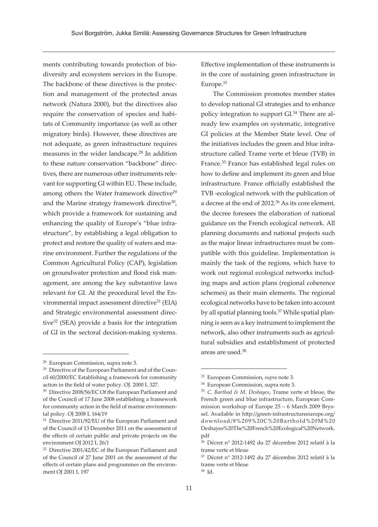ments contributing towards protection of biodiversity and ecosystem services in the Europe. The backbone of these directives is the protection and management of the protected areas network (Natura 2000), but the directives also require the conservation of species and habitats of Community importance (as well as other migratory birds). However, these directives are not adequate, as green infrastructure requires measures in the wider landscape.28 In addition to these nature conservation "backbone" directives, there are numerous other instruments relevant for supporting GI within EU. These include, among others the Water framework directive<sup>29</sup> and the Marine strategy framework directive<sup>30</sup>, which provide a framework for sustaining and enhancing the quality of Europe's "blue infrastructure", by establishing a legal obligation to protect and restore the quality of waters and marine environment. Further the regulations of the Common Agricultural Policy (CAP), legislation on groundwater protection and flood risk management, are among the key substantive laws relevant for GI. At the procedural level the Environmental impact assessment directive<sup>31</sup> (EIA) and Strategic environmental assessment directive32 (SEA) provide a basis for the integration of GI in the sectoral decision-making systems.

Effective implementation of these instruments is in the core of sustaining green infrastructure in Europe.33

The Commission promotes member states to develop national GI strategies and to enhance policy integration to support GI.<sup>34</sup> There are already few examples on systematic, integrative GI policies at the Member State level. One of the initiatives includes the green and blue infrastructure called Trame verte et bleue (TVB) in France.<sup>35</sup> France has established legal rules on how to define and implement its green and blue infrastructure. France officially established the TVB -ecological network with the publication of a decree at the end of 2012.36 As its core element, the decree foresees the elaboration of national guidance on the French ecological network. All planning documents and national projects such as the major linear infrastructures must be compatible with this guideline. Implementation is mainly the task of the regions, which have to work out regional ecological networks including maps and action plans (regional coherence schemes) as their main elements. The regional ecological networks have to be taken into account by all spatial planning tools.37 While spatial planning is seen as a key instrument to implement the network, also other instruments such as agricultural subsidies and establishment of protected areas are used.38

<sup>28</sup> European Commission, supra note 3.

<sup>&</sup>lt;sup>29</sup> Directive of the European Parliament and of the Council 60/2000/EC Establishing a framework for community action in the field of water policy. OJ. 2000 L 327.

<sup>&</sup>lt;sup>30</sup> Directive 2008/56/EC Of the European Parliament and of the Council of 17 June 2008 establishing a framework for community action in the field of marine environmental policy. OJ 2008 L 164/19

<sup>&</sup>lt;sup>31</sup> Directive 2011/92/EU of the European Parliament and of the Council of 13 December 2011 on the assessment of the effects of certain public and private projects on the environment OJ 2012 L 26/1

<sup>&</sup>lt;sup>32</sup> Directive 2001/42/EC of the European Parliament and of the Council of 27 June 2001 on the assessment of the effects of certain plans and programmes on the environment OJ 2001 L 197

<sup>33</sup> European Commission, *supra* note 3.

<sup>34</sup> European Commission, supra note 3.

<sup>35</sup> *C. Barthod & M. Deshayes*, Trame verte et bleue, the French green and blue infrastructure, European Commission workshop of Europe 25 – 6 March 2009 Bryssel. Available in http://green-infrastructureeurope.org/ download/8%209%20C%20Barthold%20M%20 Deshayes%20The%20French%20Ecological%20Network. pdf

<sup>36</sup> Décret n° 2012-1492 du 27 décembre 2012 relatif à la trame verte et bleue

<sup>37</sup> Décret n° 2012-1492 du 27 décembre 2012 relatif à la trame verte et bleue

<sup>38</sup> Id.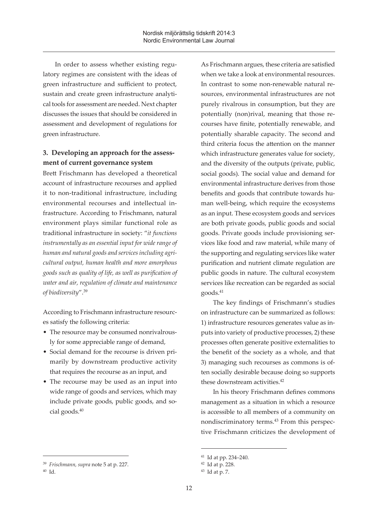In order to assess whether existing regulatory regimes are consistent with the ideas of green infrastructure and sufficient to protect, sustain and create green infrastructure analytical tools for assessment are needed. Next chapter discusses the issues that should be considered in assessment and development of regulations for green infrastructure.

## **3. Developing an approach for the assessment of current governance system**

Brett Frischmann has developed a theoretical account of infrastructure recourses and applied it to non-traditional infrastructure, including environmental recourses and intellectual infrastructure. According to Frischmann, natural environment plays similar functional role as traditional infrastructure in society: "*it functions instrumentally as an essential input for wide range of human and natural goods and services including agricultural output, human health and more amorphous goods such as quality of life, as well as purification of water and air, regulation of climate and maintenance of biodiversity*".39

According to Frischmann infrastructure resources satisfy the following criteria:

- The resource may be consumed nonrivalrously for some appreciable range of demand,
- Social demand for the recourse is driven primarily by downstream productive activity that requires the recourse as an input, and
- The recourse may be used as an input into wide range of goods and services, which may include private goods, public goods, and social goods.<sup>40</sup>

As Frischmann argues, these criteria are satisfied when we take a look at environmental resources. In contrast to some non-renewable natural resources, environmental infrastructures are not purely rivalrous in consumption, but they are potentially (non)rival, meaning that those recourses have finite, potentially renewable, and potentially sharable capacity. The second and third criteria focus the attention on the manner which infrastructure generates value for society, and the diversity of the outputs (private, public, social goods). The social value and demand for environmental infrastructure derives from those benefits and goods that contribute towards human well-being, which require the ecosystems as an input. These ecosystem goods and services are both private goods, public goods and social goods. Private goods include provisioning services like food and raw material, while many of the supporting and regulating services like water purification and nutrient climate regulation are public goods in nature. The cultural ecosystem services like recreation can be regarded as social goods.<sup>41</sup>

The key findings of Frischmann's studies on infrastructure can be summarized as follows: 1) infrastructure resources generates value as inputs into variety of productive processes, 2) these processes often generate positive externalities to the benefit of the society as a whole, and that 3) managing such recourses as commons is often socially desirable because doing so supports these downstream activities.<sup>42</sup>

In his theory Frischmann defines commons management as a situation in which a resource is accessible to all members of a community on nondiscriminatory terms.43 From this perspective Frischmann criticizes the development of

<sup>39</sup> *Frischmann, supra* note 5 at p. 227.

<sup>40</sup> Id.

<sup>41</sup> Id at pp. 234–240.

<sup>42</sup> Id at p. 228.

<sup>43</sup> Id at p. 7.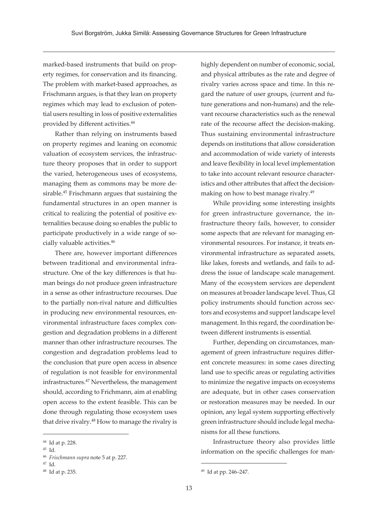marked-based instruments that build on property regimes, for conservation and its financing. The problem with market-based approaches, as Frischmann argues, is that they lean on property regimes which may lead to exclusion of potential users resulting in loss of positive externalities provided by different activities.<sup>44</sup>

Rather than relying on instruments based on property regimes and leaning on economic valuation of ecosystem services, the infrastructure theory proposes that in order to support the varied, heterogeneous uses of ecosystems, managing them as commons may be more desirable.<sup>45</sup> Frischmann argues that sustaining the fundamental structures in an open manner is critical to realizing the potential of positive externalities because doing so enables the public to participate productively in a wide range of socially valuable activities.46

There are, however important differences between traditional and environmental infrastructure. One of the key differences is that human beings do not produce green infrastructure in a sense as other infrastructure recourses. Due to the partially non-rival nature and difficulties in producing new environmental resources, environmental infrastructure faces complex congestion and degradation problems in a different manner than other infrastructure recourses. The congestion and degradation problems lead to the conclusion that pure open access in absence of regulation is not feasible for environmental infrastructures.47 Nevertheless, the management should, according to Frichmann, aim at enabling open access to the extent feasible. This can be done through regulating those ecosystem uses that drive rivalry.<sup>48</sup> How to manage the rivalry is highly dependent on number of economic, social, and physical attributes as the rate and degree of rivalry varies across space and time. In this regard the nature of user groups, (current and future generations and non-humans) and the relevant recourse characteristics such as the renewal rate of the recourse affect the decision-making. Thus sustaining environmental infrastructure depends on institutions that allow consideration and accommodation of wide variety of interests and leave flexibility in local level implementation to take into account relevant resource characteristics and other attributes that affect the decisionmaking on how to best manage rivalry.<sup>49</sup>

While providing some interesting insights for green infrastructure governance, the infrastructure theory fails, however, to consider some aspects that are relevant for managing environmental resources. For instance, it treats environmental infrastructure as separated assets, like lakes, forests and wetlands, and fails to address the issue of landscape scale management. Many of the ecosystem services are dependent on measures at broader landscape level. Thus, GI policy instruments should function across sectors and ecosystems and support landscape level management. In this regard, the coordination between different instruments is essential.

Further, depending on circumstances, management of green infrastructure requires different concrete measures: in some cases directing land use to specific areas or regulating activities to minimize the negative impacts on ecosystems are adequate, but in other cases conservation or restoration measures may be needed. In our opinion, any legal system supporting effectively green infrastructure should include legal mechanisms for all these functions.

Infrastructure theory also provides little information on the specific challenges for man-

<sup>44</sup> Id at p. 228.

<sup>45</sup> Id.

<sup>46</sup> *Frischmann supra* note 5 at p. 227.

<sup>47</sup> Id.

<sup>48</sup> Id at p. 235.

<sup>49</sup> Id at pp. 246–247.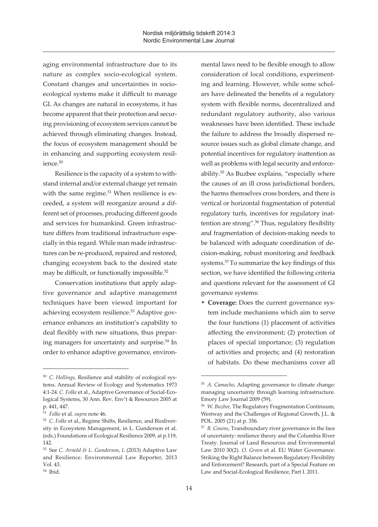aging environmental infrastructure due to its nature as complex socio-ecological system. Constant changes and uncertainties in socioecological systems make it difficult to manage GI. As changes are natural in ecosystems, it has become apparent that their protection and securing provisioning of ecosystem services cannot be achieved through eliminating changes. Instead, the focus of ecosystem management should be in enhancing and supporting ecosystem resilience.<sup>50</sup>

Resilience is the capacity of a system to withstand internal and/or external change yet remain with the same regime.<sup>51</sup> When resilience is exceeded, a system will reorganize around a different set of processes, producing different goods and services for humankind. Green infrastructure differs from traditional infrastructure especially in this regard. While man made infrastructures can be re-produced, repaired and restored, changing ecosystem back to the desired state may be difficult, or functionally impossible.<sup>52</sup>

Conservation institutions that apply adaptive governance and adaptive management techniques have been viewed important for achieving ecosystem resilience.53 Adaptive governance enhances an institution's capability to deal flexibly with new situations, thus preparing managers for uncertainty and surprise.<sup>54</sup> In order to enhance adaptive governance, environ-

**• Coverage:** Does the current governance system include mechanisms which aim to serve the four functions (1) placement of activities affecting the environment; (2) protection of places of special importance; (3) regulation of activities and projects; and (4) restoration of habitats. Do these mechanisms cover all

<sup>50</sup> *C. Hollings,* Resilience and stability of ecological systems. Annual Review of Ecology and Systematics 1973 4:1-24. *C. Folke* et al., Adaptive Governance of Social-Ecological Systems, 30 Ann. Rev. Env't & Resources 2005 at p. 441, 447.

<sup>51</sup> *Folke* et al. *supra* note 46.

<sup>52</sup> *C. Folke* et al., Regime Shifts, Resilience, and Biodiversity in Ecosystem Management, in L. Gunderson et al. (eds.) Foundations of Ecological Resilience 2009, at p.119, 142.

<sup>53</sup> See *C. Arnold & L. Gunderson, L* (2013) Adaptive Law and Resilience. Environmental Law Reporter, 2013 Vol. 43.

mental laws need to be flexible enough to allow consideration of local conditions, experimenting and learning. However, while some scholars have delineated the benefits of a regulatory system with flexible norms, decentralized and redundant regulatory authority, also various weaknesses have been identified. These include the failure to address the broadly dispersed resource issues such as global climate change, and potential incentives for regulatory inattention as well as problems with legal security and enforceability.<sup>55</sup> As Buzbee explains, "especially where the causes of an ill cross jurisdictional borders, the harms themselves cross borders, and there is vertical or horizontal fragmentation of potential regulatory turfs, incentives for regulatory inattention are strong".<sup>56</sup> Thus, regulatory flexibility and fragmentation of decision-making needs to be balanced with adequate coordination of decision-making, robust monitoring and feedback systems.57 To summarize the key findings of this section, we have identified the following criteria and questions relevant for the assessment of GI governance systems:

<sup>55</sup> *A. Camacho*, Adapting governance to climate change: managing uncertainty through learning infrastructure. Emory Law Journal 2009 (59).

<sup>56</sup> *W. Buzbee,* The Regulatory Fragmentation Continuum, Westway and the Challenges of Regional Growth, J.L. & POL. 2005 (21) at p. 356.

<sup>57</sup> *B. Cosens*, Transboundary river governance in the face of uncertainty: resilience theory and the Columbia River Treaty. Journal of Land Resources and Environmental Law 2010 30(2). *O. Green* et al. EU Water Governance: Striking the Right Balance between Regulatory Flexibility and Enforcement? Research, part of a Special Feature on Law and Social-Ecological Resilience, Part I. 2011.

<sup>54</sup> Ibid.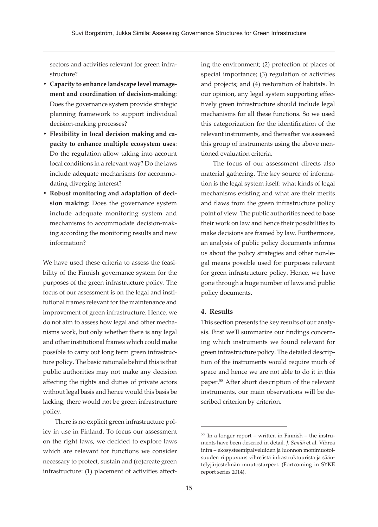sectors and activities relevant for green infrastructure?

- **• Capacity to enhance landscape level management and coordination of decision-making**: Does the governance system provide strategic planning framework to support individual decision-making processes?
- **• Flexibility in local decision making and capacity to enhance multiple ecosystem uses**: Do the regulation allow taking into account local conditions in a relevant way? Do the laws include adequate mechanisms for accommodating diverging interest?
- **• Robust monitoring and adaptation of decision making**: Does the governance system include adequate monitoring system and mechanisms to accommodate decision-making according the monitoring results and new information?

We have used these criteria to assess the feasibility of the Finnish governance system for the purposes of the green infrastructure policy. The focus of our assessment is on the legal and institutional frames relevant for the maintenance and improvement of green infrastructure. Hence, we do not aim to assess how legal and other mechanisms work, but only whether there is any legal and other institutional frames which could make possible to carry out long term green infrastructure policy. The basic rationale behind this is that public authorities may not make any decision affecting the rights and duties of private actors without legal basis and hence would this basis be lacking, there would not be green infrastructure policy.

There is no explicit green infrastructure policy in use in Finland. To focus our assessment on the right laws, we decided to explore laws which are relevant for functions we consider necessary to protect, sustain and (re)create green infrastructure: (1) placement of activities affecting the environment; (2) protection of places of special importance; (3) regulation of activities and projects; and (4) restoration of habitats. In our opinion, any legal system supporting effectively green infrastructure should include legal mechanisms for all these functions. So we used this categorization for the identification of the relevant instruments, and thereafter we assessed this group of instruments using the above mentioned evaluation criteria.

The focus of our assessment directs also material gathering. The key source of information is the legal system itself: what kinds of legal mechanisms existing and what are their merits and flaws from the green infrastructure policy point of view. The public authorities need to base their work on law and hence their possibilities to make decisions are framed by law. Furthermore, an analysis of public policy documents informs us about the policy strategies and other non-legal means possible used for purposes relevant for green infrastructure policy. Hence, we have gone through a huge number of laws and public policy documents.

#### **4. Results**

This section presents the key results of our analysis. First we'll summarize our findings concerning which instruments we found relevant for green infrastructure policy. The detailed description of the instruments would require much of space and hence we are not able to do it in this paper.<sup>58</sup> After short description of the relevant instruments, our main observations will be described criterion by criterion.

 $58$  In a longer report – written in Finnish – the instruments have been descried in detail*. J. Similä* et al. Vihreä infra – ekosysteemipalveluiden ja luonnon monimuotoisuuden riippuvuus vihreästä infrastruktuurista ja sääntelyjärjestelmän muutostarpeet. (Fortcoming in SYKE report series 2014).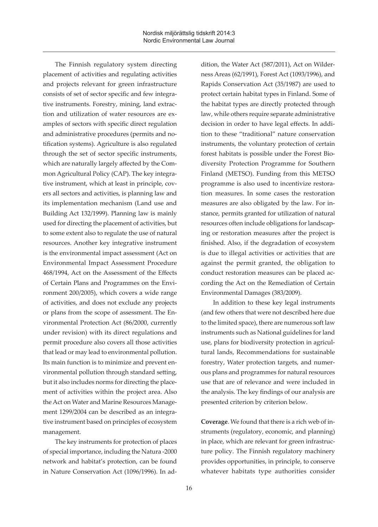The Finnish regulatory system directing placement of activities and regulating activities and projects relevant for green infrastructure consists of set of sector specific and few integrative instruments. Forestry, mining, land extraction and utilization of water resources are examples of sectors with specific direct regulation and administrative procedures (permits and notification systems). Agriculture is also regulated through the set of sector specific instruments, which are naturally largely affected by the Common Agricultural Policy (CAP). The key integrative instrument, which at least in principle, covers all sectors and activities, is planning law and its implementation mechanism (Land use and Building Act 132/1999). Planning law is mainly used for directing the placement of activities, but to some extent also to regulate the use of natural resources. Another key integrative instrument is the environmental impact assessment (Act on Environmental Impact Assessment Procedure 468/1994, Act on the Assessment of the Effects of Certain Plans and Programmes on the Environment 200/2005), which covers a wide range of activities, and does not exclude any projects or plans from the scope of assessment. The Environmental Protection Act (86/2000, currently under revision) with its direct regulations and permit procedure also covers all those activities that lead or may lead to environmental pollution. Its main function is to minimize and prevent environmental pollution through standard setting, but it also includes norms for directing the placement of activities within the project area. Also the Act on Water and Marine Resources Management 1299/2004 can be described as an integrative instrument based on principles of ecosystem management.

The key instruments for protection of places of special importance, including the Natura -2000 network and habitat's protection, can be found in Nature Conservation Act (1096/1996). In ad-

dition, the Water Act (587/2011), Act on Wilderness Areas (62/1991), Forest Act (1093/1996), and Rapids Conservation Act (35/1987) are used to protect certain habitat types in Finland. Some of the habitat types are directly protected through law, while others require separate administrative decision in order to have legal effects. In addition to these "traditional" nature conservation instruments, the voluntary protection of certain forest habitats is possible under the Forest Biodiversity Protection Programme for Southern Finland (METSO). Funding from this METSO programme is also used to incentivize restoration measures. In some cases the restoration measures are also obligated by the law. For instance, permits granted for utilization of natural resources often include obligations for landscaping or restoration measures after the project is finished. Also, if the degradation of ecosystem is due to illegal activities or activities that are against the permit granted, the obligation to conduct restoration measures can be placed according the Act on the Remediation of Certain Environmental Damages (383/2009).

In addition to these key legal instruments (and few others that were not described here due to the limited space), there are numerous soft law instruments such as National guidelines for land use, plans for biodiversity protection in agricultural lands, Recommendations for sustainable forestry, Water protection targets, and numerous plans and programmes for natural resources use that are of relevance and were included in the analysis. The key findings of our analysis are presented criterion by criterion below.

**Coverage**. We found that there is a rich web of instruments (regulatory, economic, and planning) in place, which are relevant for green infrastructure policy. The Finnish regulatory machinery provides opportunities, in principle, to conserve whatever habitats type authorities consider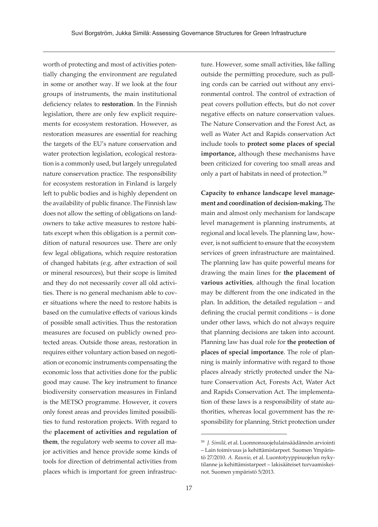worth of protecting and most of activities potentially changing the environment are regulated in some or another way. If we look at the four groups of instruments, the main institutional deficiency relates to **restoration**. In the Finnish legislation, there are only few explicit requirements for ecosystem restoration. However, as restoration measures are essential for reaching the targets of the EU's nature conservation and water protection legislation, ecological restoration is a commonly used, but largely unregulated nature conservation practice. The responsibility for ecosystem restoration in Finland is largely left to public bodies and is highly dependent on the availability of public finance. The Finnish law does not allow the setting of obligations on landowners to take active measures to restore habitats except when this obligation is a permit condition of natural resources use. There are only few legal obligations, which require restoration of changed habitats (e.g. after extraction of soil or mineral resources), but their scope is limited and they do not necessarily cover all old activities. There is no general mechanism able to cover situations where the need to restore habits is based on the cumulative effects of various kinds of possible small activities. Thus the restoration measures are focused on publicly owned protected areas. Outside those areas, restoration in requires either voluntary action based on negotiation or economic instruments compensating the economic loss that activities done for the public good may cause. The key instrument to finance biodiversity conservation measures in Finland is the METSO programme. However, it covers only forest areas and provides limited possibilities to fund restoration projects. With regard to the **placement of activities and regulation of them**, the regulatory web seems to cover all major activities and hence provide some kinds of tools for direction of detrimental activities from places which is important for green infrastruc-

ture. However, some small activities, like falling outside the permitting procedure, such as pulling cords can be carried out without any environmental control. The control of extraction of peat covers pollution effects, but do not cover negative effects on nature conservation values. The Nature Conservation and the Forest Act, as well as Water Act and Rapids conservation Act include tools to **protect some places of special importance,** although these mechanisms have been criticized for covering too small areas and only a part of habitats in need of protection.<sup>59</sup>

**Capacity to enhance landscape level management and coordination of decision-making.** The main and almost only mechanism for landscape level management is planning instruments, at regional and local levels. The planning law, however, is not sufficient to ensure that the ecosystem services of green infrastructure are maintained. The planning law has quite powerful means for drawing the main lines for **the placement of various activities**, although the final location may be different from the one indicated in the plan. In addition, the detailed regulation – and defining the crucial permit conditions – is done under other laws, which do not always require that planning decisions are taken into account. Planning law has dual role for **the protection of places of special importance**. The role of planning is mainly informative with regard to those places already strictly protected under the Nature Conservation Act, Forests Act, Water Act and Rapids Conservation Act. The implementation of these laws is a responsibility of state authorities, whereas local government has the responsibility for planning. Strict protection under

<sup>59</sup> *J. Similä*, et al. Luonnonsuojelulainsäädännön arviointi – Lain toimivuus ja kehittämistarpeet. Suomen Ympäristö 27/2010. *A. Raunio*, et al. Luontotyyppisuojelun nykytilanne ja kehittämistarpeet – lakisääteiset turvaamiskeinot. Suomen ympäristö 5/2013.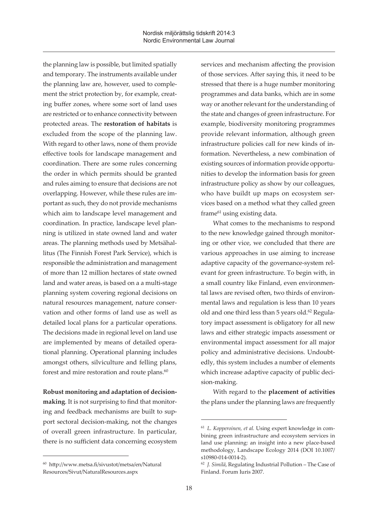the planning law is possible, but limited spatially and temporary. The instruments available under the planning law are, however, used to complement the strict protection by, for example, creating buffer zones, where some sort of land uses are restricted or to enhance connectivity between protected areas. The **restoration of habitats** is excluded from the scope of the planning law. With regard to other laws, none of them provide effective tools for landscape management and coordination. There are some rules concerning the order in which permits should be granted and rules aiming to ensure that decisions are not overlapping. However, while these rules are important as such, they do not provide mechanisms which aim to landscape level management and coordination. In practice, landscape level planning is utilized in state owned land and water areas. The planning methods used by Metsähallitus (The Finnish Forest Park Service), which is responsible the administration and management of more than 12 million hectares of state owned land and water areas, is based on a a multi-stage planning system covering regional decisions on natural resources management, nature conservation and other forms of land use as well as detailed local plans for a particular operations. The decisions made in regional level on land use are implemented by means of detailed operational planning. Operational planning includes amongst others, silviculture and felling plans, forest and mire restoration and route plans. $60$ 

**Robust monitoring and adaptation of decisionmaking**. It is not surprising to find that monitoring and feedback mechanisms are built to support sectoral decision-making, not the changes of overall green infrastructure. In particular, there is no sufficient data concerning ecosystem services and mechanism affecting the provision of those services. After saying this, it need to be stressed that there is a huge number monitoring programmes and data banks, which are in some way or another relevant for the understanding of the state and changes of green infrastructure. For example, biodiversity monitoring programmes provide relevant information, although green infrastructure policies call for new kinds of information. Nevertheless, a new combination of existing sources of information provide opportunities to develop the information basis for green infrastructure policy as show by our colleagues, who have buildt up maps on ecosystem services based on a method what they called green frame<sup>61</sup> using existing data.

What comes to the mechanisms to respond to the new knowledge gained through monitoring or other vice, we concluded that there are various approaches in use aiming to increase adaptive capacity of the governance-system relevant for green infrastructure. To begin with, in a small country like Finland, even environmental laws are revised often, two thirds of environmental laws and regulation is less than 10 years old and one third less than 5 years old.<sup>62</sup> Regulatory impact assessment is obligatory for all new laws and either strategic impacts assessment or environmental impact assessment for all major policy and administrative decisions. Undoubtedly, this system includes a number of elements which increase adaptive capacity of public decision-making.

With regard to the **placement of activities** the plans under the planning laws are frequently

<sup>60</sup> http://www.metsa.fi/sivustot/metsa/en/Natural Resources/Sivut/NaturalResources.aspx

<sup>61</sup> *L. Kopperoinen, et al.* Using expert knowledge in combining green infrastructure and ecosystem services in land use planning: an insight into a new place-based methodology, Landscape Ecology 2014 (DOI 10.1007/ s10980-014-0014-2).

<sup>62</sup> *J. Similä*, Regulating Industrial Pollution – The Case of Finland. Forum Iuris 2007.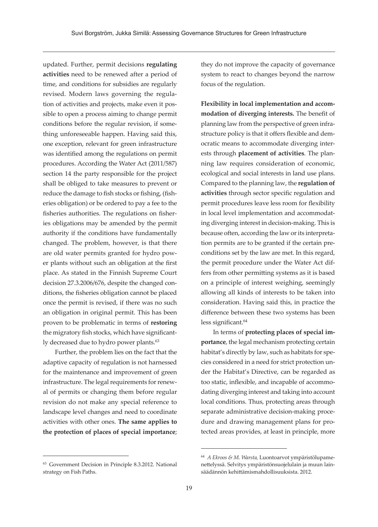updated. Further, permit decisions **regulating activities** need to be renewed after a period of time, and conditions for subsidies are regularly revised. Modern laws governing the regulation of activities and projects, make even it possible to open a process aiming to change permit conditions before the regular revision, if something unforeseeable happen. Having said this, one exception, relevant for green infrastructure was identified among the regulations on permit procedures. According the Water Act (2011/587) section 14 the party responsible for the project shall be obliged to take measures to prevent or reduce the damage to fish stocks or fishing, (fisheries obligation) or be ordered to pay a fee to the fisheries authorities. The regulations on fisheries obligations may be amended by the permit authority if the conditions have fundamentally changed. The problem, however, is that there are old water permits granted for hydro power plants without such an obligation at the first place. As stated in the Finnish Supreme Court decision 27.3.2006/676, despite the changed conditions, the fisheries obligation cannot be placed once the permit is revised, if there was no such an obligation in original permit. This has been proven to be problematic in terms of **restoring** the migratory fish stocks, which have significantly decreased due to hydro power plants.<sup>63</sup>

Further, the problem lies on the fact that the adaptive capacity of regulation is not harnessed for the maintenance and improvement of green infrastructure. The legal requirements for renewal of permits or changing them before regular revision do not make any special reference to landscape level changes and need to coordinate activities with other ones. **The same applies to the protection of places of special importance**;

<sup>63</sup> Government Decision in Principle 8.3.2012. National strategy on Fish Paths.

they do not improve the capacity of governance system to react to changes beyond the narrow focus of the regulation.

**Flexibility in local implementation and accommodation of diverging interests.** The benefit of planning law from the perspective of green infrastructure policy is that it offers flexible and democratic means to accommodate diverging interests through **placement of activities**. The planning law requires consideration of economic, ecological and social interests in land use plans. Compared to the planning law, the **regulation of activities** through sector specific regulation and permit procedures leave less room for flexibility in local level implementation and accommodating diverging interest in decision-making. This is because often, according the law or its interpretation permits are to be granted if the certain preconditions set by the law are met. In this regard, the permit procedure under the Water Act differs from other permitting systems as it is based on a principle of interest weighing, seemingly allowing all kinds of interests to be taken into consideration. Having said this, in practice the difference between these two systems has been less significant.<sup>64</sup>

In terms of **protecting places of special importance**, the legal mechanism protecting certain habitat's directly by law, such as habitats for species considered in a need for strict protection under the Habitat's Directive, can be regarded as too static, inflexible, and incapable of accommodating diverging interest and taking into account local conditions. Thus, protecting areas through separate administrative decision-making procedure and drawing management plans for protected areas provides, at least in principle, more

<sup>64</sup> *A Ekroos & M. Warsta,* Luontoarvot ympäristölupamenettelyssä. Selvitys ympäristönsuojelulain ja muun lainsäädännön kehittämismahdollisuuksista. 2012.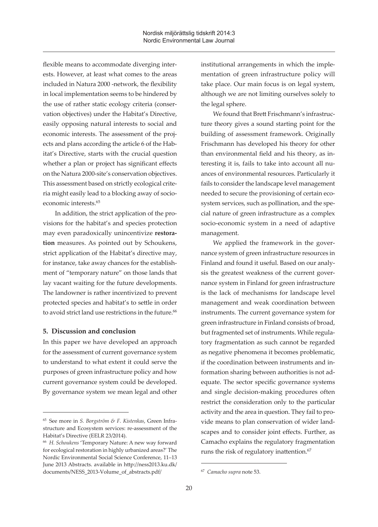flexible means to accommodate diverging interests. However, at least what comes to the areas included in Natura 2000 -network, the flexibility in local implementation seems to be hindered by the use of rather static ecology criteria (conservation objectives) under the Habitat's Directive, easily opposing natural interests to social and economic interests. The assessment of the projects and plans according the article 6 of the Habitat's Directive, starts with the crucial question whether a plan or project has significant effects on the Natura 2000-site's conservation objectives. This assessment based on strictly ecological criteria might easily lead to a blocking away of socioeconomic interests.<sup>65</sup>

In addition, the strict application of the provisions for the habitat's and species protection may even paradoxically unincentivize **restoration** measures. As pointed out by Schoukens, strict application of the Habitat's directive may, for instance, take away chances for the establishment of "temporary nature" on those lands that lay vacant waiting for the future developments. The landowner is rather incentivized to prevent protected species and habitat's to settle in order to avoid strict land use restrictions in the future.<sup>66</sup>

#### **5. Discussion and conclusion**

In this paper we have developed an approach for the assessment of current governance system to understand to what extent it could serve the purposes of green infrastructure policy and how current governance system could be developed. By governance system we mean legal and other

institutional arrangements in which the implementation of green infrastructure policy will take place. Our main focus is on legal system, although we are not limiting ourselves solely to the legal sphere.

We found that Brett Frischmann's infrastructure theory gives a sound starting point for the building of assessment framework. Originally Frischmann has developed his theory for other than environmental field and his theory, as interesting it is, fails to take into account all nuances of environmental resources. Particularly it fails to consider the landscape level management needed to secure the provisioning of certain ecosystem services, such as pollination, and the special nature of green infrastructure as a complex socio-economic system in a need of adaptive management.

We applied the framework in the governance system of green infrastructure resources in Finland and found it useful. Based on our analysis the greatest weakness of the current governance system in Finland for green infrastructure is the lack of mechanisms for landscape level management and weak coordination between instruments. The current governance system for green infrastructure in Finland consists of broad, but fragmented set of instruments. While regulatory fragmentation as such cannot be regarded as negative phenomena it becomes problematic, if the coordination between instruments and information sharing between authorities is not adequate. The sector specific governance systems and single decision-making procedures often restrict the consideration only to the particular activity and the area in question. They fail to provide means to plan conservation of wider landscapes and to consider joint effects. Further, as Camacho explains the regulatory fragmentation runs the risk of regulatory inattention.<sup>67</sup>

<sup>65</sup> See more in *S. Borgström & F. Kistenkas*, Green Infrastructure and Ecosystem services: re-assessment of the Habitat's Directive (EELR 23/2014).

<sup>66</sup> *H. Schoukens* 'Temporary Nature: A new way forward for ecological restoration in highly urbanized areas?' The Nordic Environmental Social Science Conference, 11–13 June 2013 Abstracts. available in http://ness2013.ku.dk/ documents/NESS\_2013-Volume\_of\_abstracts.pdf/

<sup>67</sup> *Camacho supra* note 53.